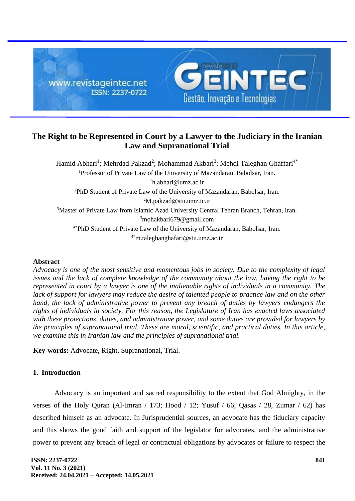

# **The Right to be Represented in Court by a Lawyer to the Judiciary in the Iranian Law and Supranational Trial**

Hamid Abhari<sup>1</sup>; Mehrdad Pakzad<sup>2</sup>; Mohammad Akbari<sup>3</sup>; Mehdi Taleghan Ghaffari<sup>4\*</sup> <sup>1</sup>Professor of Private Law of the University of Mazandaran, Babolsar, Iran.  ${}^{1}$ h.abhari@umz.ac.ir <sup>2</sup>PhD Student of Private Law of the University of Mazandaran, Babolsar, Iran. <sup>2</sup>M.pakzad@stu.umz.ic.ir <sup>3</sup>Master of Private Law from Islamic Azad University Central Tehran Branch, Tehran, Iran. <sup>3</sup>mohakbari679@gmail.com 4\*PhD Student of Private Law of the University of Mazandaran, Babolsar, Iran. 4\*m.taleghanghafari@stu.umz.ac.ir

## **Abstract**

*Advocacy is one of the most sensitive and momentous jobs in society. Due to the complexity of legal issues and the lack of complete knowledge of the community about the law, having the right to be represented in court by a lawyer is one of the inalienable rights of individuals in a community. The*  lack of support for lawyers may reduce the desire of talented people to practice law and on the other *hand, the lack of administrative power to prevent any breach of duties by lawyers endangers the rights of individuals in society. For this reason, the Legislature of Iran has enacted laws associated with these protections, duties, and administrative power, and some duties are provided for lawyers by the principles of supranational trial. These are moral, scientific, and practical duties. In this article, we examine this in Iranian law and the principles of supranational trial.*

**Key-words:** Advocate, Right, Supranational, Trial.

## **1. Introduction**

Advocacy is an important and sacred responsibility to the extent that God Almighty, in the verses of the Holy Quran (Al-Imran / 173; Hood / 12; Yusuf / 66; Qasas / 28, Zumar / 62) has described himself as an advocate. In Jurisprudential sources, an advocate has the fiduciary capacity and this shows the good faith and support of the legislator for advocates, and the administrative power to prevent any breach of legal or contractual obligations by advocates or failure to respect the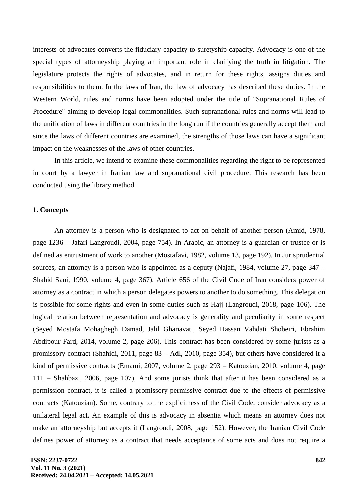interests of advocates converts the fiduciary capacity to suretyship capacity. Advocacy is one of the special types of attorneyship playing an important role in clarifying the truth in litigation. The legislature protects the rights of advocates, and in return for these rights, assigns duties and responsibilities to them. In the laws of Iran, the law of advocacy has described these duties. In the Western World, rules and norms have been adopted under the title of "Supranational Rules of Procedure" aiming to develop legal commonalities. Such supranational rules and norms will lead to the unification of laws in different countries in the long run if the countries generally accept them and since the laws of different countries are examined, the strengths of those laws can have a significant impact on the weaknesses of the laws of other countries.

In this article, we intend to examine these commonalities regarding the right to be represented in court by a lawyer in Iranian law and supranational civil procedure. This research has been conducted using the library method.

#### **1. Concepts**

An attorney is a person who is designated to act on behalf of another person (Amid, 1978, page 1236 – Jafari Langroudi, 2004, page 754). In Arabic, an attorney is a guardian or trustee or is defined as entrustment of work to another (Mostafavi, 1982, volume 13, page 192). In Jurisprudential sources, an attorney is a person who is appointed as a deputy (Najafi, 1984, volume 27, page  $347 -$ Shahid Sani, 1990, volume 4, page 367). Article 656 of the Civil Code of Iran considers power of attorney as a contract in which a person delegates powers to another to do something. This delegation is possible for some rights and even in some duties such as Hajj (Langroudi, 2018, page 106). The logical relation between representation and advocacy is generality and peculiarity in some respect (Seyed Mostafa Mohaghegh Damad, Jalil Ghanavati, Seyed Hassan Vahdati Shobeiri, Ebrahim Abdipour Fard, 2014, volume 2, page 206). This contract has been considered by some jurists as a promissory contract (Shahidi, 2011, page 83 – Adl, 2010, page 354), but others have considered it a kind of permissive contracts (Emami, 2007, volume 2, page 293 – Katouzian, 2010, volume 4, page 111 – Shahbazi, 2006, page 107), And some jurists think that after it has been considered as a permission contract, it is called a promissory-permissive contract due to the effects of permissive contracts (Katouzian). Some, contrary to the explicitness of the Civil Code, consider advocacy as a unilateral legal act. An example of this is advocacy in absentia which means an attorney does not make an attorneyship but accepts it (Langroudi, 2008, page 152). However, the Iranian Civil Code defines power of attorney as a contract that needs acceptance of some acts and does not require a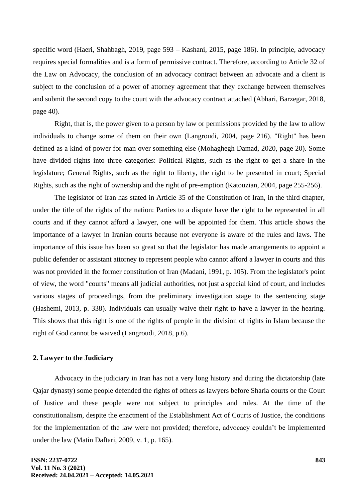specific word (Haeri, Shahbagh, 2019, page 593 – Kashani, 2015, page 186). In principle, advocacy requires special formalities and is a form of permissive contract. Therefore, according to Article 32 of the Law on Advocacy, the conclusion of an advocacy contract between an advocate and a client is subject to the conclusion of a power of attorney agreement that they exchange between themselves and submit the second copy to the court with the advocacy contract attached (Abhari, Barzegar, 2018, page 40).

Right, that is, the power given to a person by law or permissions provided by the law to allow individuals to change some of them on their own (Langroudi, 2004, page 216). "Right" has been defined as a kind of power for man over something else (Mohaghegh Damad, 2020, page 20). Some have divided rights into three categories: Political Rights, such as the right to get a share in the legislature; General Rights, such as the right to liberty, the right to be presented in court; Special Rights, such as the right of ownership and the right of pre-emption (Katouzian, 2004, page 255-256).

The legislator of Iran has stated in Article 35 of the Constitution of Iran, in the third chapter, under the title of the rights of the nation: Parties to a dispute have the right to be represented in all courts and if they cannot afford a lawyer, one will be appointed for them. This article shows the importance of a lawyer in Iranian courts because not everyone is aware of the rules and laws. The importance of this issue has been so great so that the legislator has made arrangements to appoint a public defender or assistant attorney to represent people who cannot afford a lawyer in courts and this was not provided in the former constitution of Iran (Madani, 1991, p. 105). From the legislator's point of view, the word "courts" means all judicial authorities, not just a special kind of court, and includes various stages of proceedings, from the preliminary investigation stage to the sentencing stage (Hashemi, 2013, p. 338). Individuals can usually waive their right to have a lawyer in the hearing. This shows that this right is one of the rights of people in the division of rights in Islam because the right of God cannot be waived (Langroudi, 2018, p.6).

## **2. Lawyer to the Judiciary**

Advocacy in the judiciary in Iran has not a very long history and during the dictatorship (late Qajar dynasty) some people defended the rights of others as lawyers before Sharia courts or the Court of Justice and these people were not subject to principles and rules. At the time of the constitutionalism, despite the enactment of the Establishment Act of Courts of Justice, the conditions for the implementation of the law were not provided; therefore, advocacy couldn't be implemented under the law (Matin Daftari, 2009, v. 1, p. 165).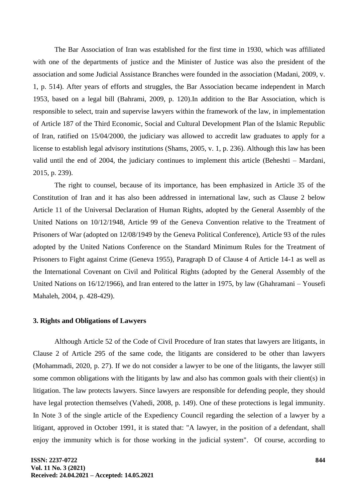The Bar Association of Iran was established for the first time in 1930, which was affiliated with one of the departments of justice and the Minister of Justice was also the president of the association and some Judicial Assistance Branches were founded in the association (Madani, 2009, v. 1, p. 514). After years of efforts and struggles, the Bar Association became independent in March 1953, based on a legal bill (Bahrami, 2009, p. 120).In addition to the Bar Association, which is responsible to select, train and supervise lawyers within the framework of the law, in implementation of Article 187 of the Third Economic, Social and Cultural Development Plan of the Islamic Republic of Iran, ratified on 15/04/2000, the judiciary was allowed to accredit law graduates to apply for a license to establish legal advisory institutions (Shams, 2005, v. 1, p. 236). Although this law has been valid until the end of 2004, the judiciary continues to implement this article (Beheshti – Mardani, 2015, p. 239).

The right to counsel, because of its importance, has been emphasized in Article 35 of the Constitution of Iran and it has also been addressed in international law, such as Clause 2 below Article 11 of the Universal Declaration of Human Rights, adopted by the General Assembly of the United Nations on 10/12/1948, Article 99 of the Geneva Convention relative to the Treatment of Prisoners of War (adopted on 12/08/1949 by the Geneva Political Conference), Article 93 of the rules adopted by the United Nations Conference on the Standard Minimum Rules for the Treatment of Prisoners to Fight against Crime (Geneva 1955), Paragraph D of Clause 4 of Article 14-1 as well as the International Covenant on Civil and Political Rights (adopted by the General Assembly of the United Nations on  $16/12/1966$ ), and Iran entered to the latter in 1975, by law (Ghahramani – Yousefi Mahaleh, 2004, p. 428-429).

#### **3. Rights and Obligations of Lawyers**

Although Article 52 of the Code of Civil Procedure of Iran states that lawyers are litigants, in Clause 2 of Article 295 of the same code, the litigants are considered to be other than lawyers (Mohammadi, 2020, p. 27). If we do not consider a lawyer to be one of the litigants, the lawyer still some common obligations with the litigants by law and also has common goals with their client(s) in litigation. The law protects lawyers. Since lawyers are responsible for defending people, they should have legal protection themselves (Vahedi, 2008, p. 149). One of these protections is legal immunity. In Note 3 of the single article of the Expediency Council regarding the selection of a lawyer by a litigant, approved in October 1991, it is stated that: "A lawyer, in the position of a defendant, shall enjoy the immunity which is for those working in the judicial system". Of course, according to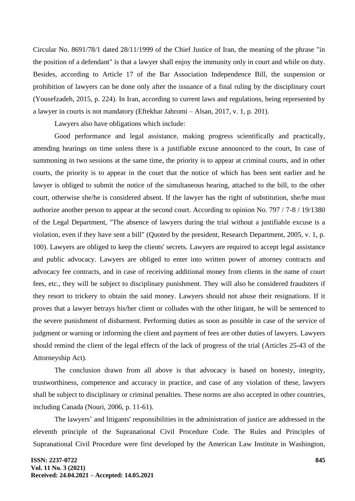Circular No. 8691/78/1 dated 28/11/1999 of the Chief Justice of Iran, the meaning of the phrase "in the position of a defendant" is that a lawyer shall enjoy the immunity only in court and while on duty. Besides, according to Article 17 of the Bar Association Independence Bill, the suspension or prohibition of lawyers can be done only after the issuance of a final ruling by the disciplinary court (Yousefzadeh, 2015, p. 224). In Iran, according to current laws and regulations, being represented by a lawyer in courts is not mandatory (Eftekhar Jahromi – Alsan, 2017, v. 1, p. 201).

Lawyers also have obligations which include:

Good performance and legal assistance, making progress scientifically and practically, attending hearings on time unless there is a justifiable excuse announced to the court, In case of summoning in two sessions at the same time, the priority is to appear at criminal courts, and in other courts, the priority is to appear in the court that the notice of which has been sent earlier and he lawyer is obliged to submit the notice of the simultaneous hearing, attached to the bill, to the other court, otherwise she/he is considered absent. If the lawyer has the right of substitution, she/he must authorize another person to appear at the second court. According to opinion No. 797 / 7-8 / 19/1380 of the Legal Department, "The absence of lawyers during the trial without a justifiable excuse is a violation, even if they have sent a bill" (Quoted by the president, Research Department, 2005, v. 1, p. 100). Lawyers are obliged to keep the clients' secrets. Lawyers are required to accept legal assistance and public advocacy. Lawyers are obliged to enter into written power of attorney contracts and advocacy fee contracts, and in case of receiving additional money from clients in the name of court fees, etc., they will be subject to disciplinary punishment. They will also be considered fraudsters if they resort to trickery to obtain the said money. Lawyers should not abuse their resignations. If it proves that a lawyer betrays his/her client or colludes with the other litigant, he will be sentenced to the severe punishment of disbarment. Performing duties as soon as possible in case of the service of judgment or warning or informing the client and payment of fees are other duties of lawyers. Lawyers should remind the client of the legal effects of the lack of progress of the trial (Articles 25-43 of the Attorneyship Act).

The conclusion drawn from all above is that advocacy is based on honesty, integrity, trustworthiness, competence and accuracy in practice, and case of any violation of these, lawyers shall be subject to disciplinary or criminal penalties. These norms are also accepted in other countries, including Canada (Nouri, 2006, p. 11-61).

The lawyers' and litigants' responsibilities in the administration of justice are addressed in the eleventh principle of the Supranational Civil Procedure Code. The Rules and Principles of Supranational Civil Procedure were first developed by the American Law Institute in Washington,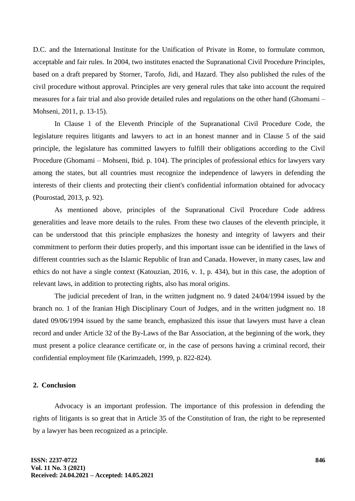D.C. and the International Institute for the Unification of Private in Rome, to formulate common, acceptable and fair rules. In 2004, two institutes enacted the Supranational Civil Procedure Principles, based on a draft prepared by Storner, Tarofo, Jidi, and Hazard. They also published the rules of the civil procedure without approval. Principles are very general rules that take into account the required measures for a fair trial and also provide detailed rules and regulations on the other hand (Ghomami – Mohseni, 2011, p. 13-15).

In Clause 1 of the Eleventh Principle of the Supranational Civil Procedure Code, the legislature requires litigants and lawyers to act in an honest manner and in Clause 5 of the said principle, the legislature has committed lawyers to fulfill their obligations according to the Civil Procedure (Ghomami – Mohseni, Ibid. p. 104). The principles of professional ethics for lawyers vary among the states, but all countries must recognize the independence of lawyers in defending the interests of their clients and protecting their client's confidential information obtained for advocacy (Pourostad, 2013, p. 92).

As mentioned above, principles of the Supranational Civil Procedure Code address generalities and leave more details to the rules. From these two clauses of the eleventh principle, it can be understood that this principle emphasizes the honesty and integrity of lawyers and their commitment to perform their duties properly, and this important issue can be identified in the laws of different countries such as the Islamic Republic of Iran and Canada. However, in many cases, law and ethics do not have a single context (Katouzian, 2016, v. 1, p. 434), but in this case, the adoption of relevant laws, in addition to protecting rights, also has moral origins.

The judicial precedent of Iran, in the written judgment no. 9 dated 24/04/1994 issued by the branch no. 1 of the Iranian High Disciplinary Court of Judges, and in the written judgment no. 18 dated 09/06/1994 issued by the same branch, emphasized this issue that lawyers must have a clean record and under Article 32 of the By-Laws of the Bar Association, at the beginning of the work, they must present a police clearance certificate or, in the case of persons having a criminal record, their confidential employment file (Karimzadeh, 1999, p. 822-824).

#### **2. Conclusion**

Advocacy is an important profession. The importance of this profession in defending the rights of litigants is so great that in Article 35 of the Constitution of Iran, the right to be represented by a lawyer has been recognized as a principle.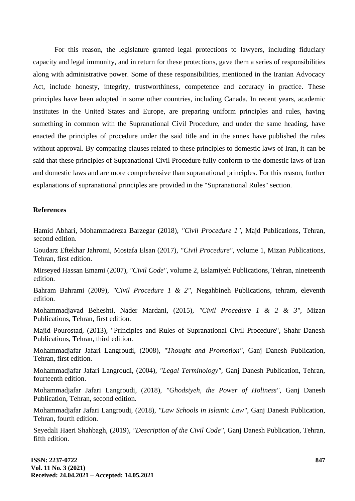For this reason, the legislature granted legal protections to lawyers, including fiduciary capacity and legal immunity, and in return for these protections, gave them a series of responsibilities along with administrative power. Some of these responsibilities, mentioned in the Iranian Advocacy Act, include honesty, integrity, trustworthiness, competence and accuracy in practice. These principles have been adopted in some other countries, including Canada. In recent years, academic institutes in the United States and Europe, are preparing uniform principles and rules, having something in common with the Supranational Civil Procedure, and under the same heading, have enacted the principles of procedure under the said title and in the annex have published the rules without approval. By comparing clauses related to these principles to domestic laws of Iran, it can be said that these principles of Supranational Civil Procedure fully conform to the domestic laws of Iran and domestic laws and are more comprehensive than supranational principles. For this reason, further explanations of supranational principles are provided in the "Supranational Rules" section.

### **References**

Hamid Abhari, Mohammadreza Barzegar (2018), *"Civil Procedure 1",* Majd Publications, Tehran, second edition.

Goudarz Eftekhar Jahromi, Mostafa Elsan (2017), *"Civil Procedure",* volume 1, Mizan Publications, Tehran, first edition.

Mirseyed Hassan Emami (2007), *"Civil Code",* volume 2, Eslamiyeh Publications, Tehran, nineteenth edition.

Bahram Bahrami (2009), *"Civil Procedure 1 & 2",* Negahbineh Publications, tehram, eleventh edition.

Mohammadjavad Beheshti, Nader Mardani, (2015), *"Civil Procedure 1 & 2 & 3",* Mizan Publications, Tehran, first edition.

Majid Pourostad, (2013), "Principles and Rules of Supranational Civil Procedure", Shahr Danesh Publications, Tehran, third edition.

Mohammadjafar Jafari Langroudi, (2008), *"Thought and Promotion",* Ganj Danesh Publication, Tehran, first edition.

Mohammadjafar Jafari Langroudi, (2004), *"Legal Terminology",* Ganj Danesh Publication, Tehran, fourteenth edition.

Mohammadjafar Jafari Langroudi, (2018), *"Ghodsiyeh, the Power of Holiness",* Ganj Danesh Publication, Tehran, second edition.

Mohammadjafar Jafari Langroudi, (2018), *"Law Schools in Islamic Law",* Ganj Danesh Publication, Tehran, fourth edition.

Seyedali Haeri Shahbagh, (2019), *"Description of the Civil Code",* Ganj Danesh Publication, Tehran, fifth edition.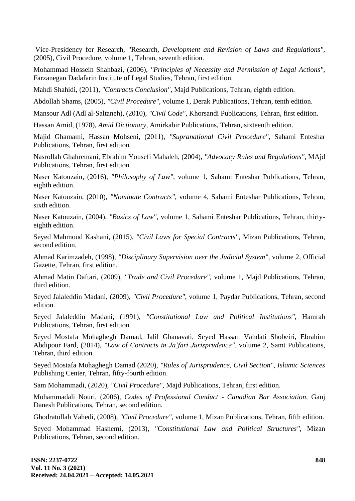Vice-Presidency for Research, "Research, *Development and Revision of Laws and Regulations",* (2005), Civil Procedure, volume 1, Tehran, seventh edition.

Mohammad Hossein Shahbazi, (2006), *"Principles of Necessity and Permission of Legal Actions",*  Farzanegan Dadafarin Institute of Legal Studies, Tehran, first edition.

Mahdi Shahidi, (2011), *"Contracts Conclusion",* Majd Publications, Tehran, eighth edition.

Abdollah Shams, (2005), *"Civil Procedure",* volume 1, Derak Publications, Tehran, tenth edition.

Mansour Adl (Adl al-Saltaneh), (2010), *"Civil Code",* Khorsandi Publications, Tehran, first edition.

Hassan Amid, (1978), *Amid Dictionary,* Amirkabir Publications, Tehran, sixteenth edition.

Majid Ghamami, Hassan Mohseni, (2011), *"Supranational Civil Procedure",* Sahami Enteshar Publications, Tehran, first edition.

Nasrollah Ghahremani, Ebrahim Yousefi Mahaleh, (2004), *"Advocacy Rules and Regulations",* MAjd Publications, Tehran, first edition.

Naser Katouzain, (2016), *"Philosophy of Law",* volume 1, Sahami Enteshar Publications, Tehran, eighth edition.

Naser Katouzain, (2010), *"Nominate Contracts",* volume 4, Sahami Enteshar Publications, Tehran, sixth edition.

Naser Katouzain, (2004), *"Basics of Law",* volume 1, Sahami Enteshar Publications, Tehran, thirtyeighth edition.

Seyed Mahmoud Kashani, (2015), *"Civil Laws for Special Contracts",* Mizan Publications, Tehran, second edition.

Ahmad Karimzadeh, (1998), *"Disciplinary Supervision over the Judicial System",* volume 2, Official Gazette, Tehran, first edition.

Ahmad Matin Daftari, (2009), *"Trade and Civil Procedure",* volume 1, Majd Publications, Tehran, third edition.

Seyed Jalaleddin Madani, (2009), *"Civil Procedure",* volume 1, Paydar Publications, Tehran, second edition.

Seyed Jalaleddin Madani, (1991), *"Constitutional Law and Political Institutions",* Hamrah Publications, Tehran, first edition.

Seyed Mostafa Mohaghegh Damad, Jalil Ghanavati, Seyed Hassan Vahdati Shobeiri, Ebrahim Abdipour Fard, (2014), "Law of Contracts in Ja'fari Jurisprudence", volume 2, Samt Publications, Tehran, third edition.

Seyed Mostafa Mohaghegh Damad (2020), *"Rules of Jurisprudence, Civil Section", Islamic Sciences* Publishing Center, Tehran, fifty-fourth edition.

Sam Mohammadi, (2020), *"Civil Procedure",* Majd Publications, Tehran, first edition.

Mohammadali Nouri, (2006), *Codes of Professional Conduct - Canadian Bar Association,* Ganj Danesh Publications, Tehran, second edition.

Ghodratollah Vahedi, (2008), *"Civil Procedure",* volume 1, Mizan Publications, Tehran, fifth edition.

Seyed Mohammad Hashemi, (2013), *"Constitutional Law and Political Structures",* Mizan Publications, Tehran, second edition.